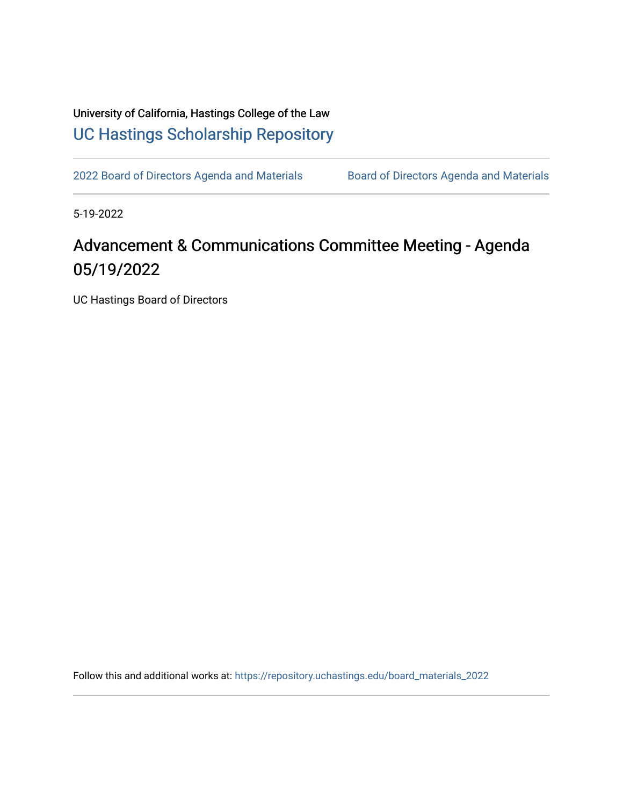University of California, Hastings College of the Law [UC Hastings Scholarship Repository](https://repository.uchastings.edu/) 

[2022 Board of Directors Agenda and Materials](https://repository.uchastings.edu/board_materials_2022) Board of Directors Agenda and Materials

5-19-2022

## Advancement & Communications Committee Meeting - Agenda 05/19/2022

UC Hastings Board of Directors

Follow this and additional works at: [https://repository.uchastings.edu/board\\_materials\\_2022](https://repository.uchastings.edu/board_materials_2022?utm_source=repository.uchastings.edu%2Fboard_materials_2022%2F37&utm_medium=PDF&utm_campaign=PDFCoverPages)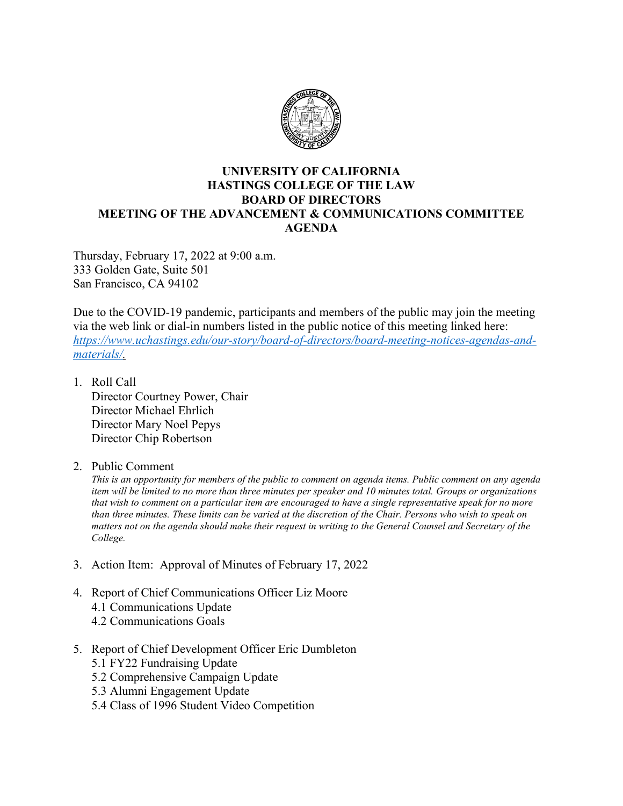

## **UNIVERSITY OF CALIFORNIA HASTINGS COLLEGE OF THE LAW BOARD OF DIRECTORS MEETING OF THE ADVANCEMENT & COMMUNICATIONS COMMITTEE AGENDA**

Thursday, February 17, 2022 at 9:00 a.m. 333 Golden Gate, Suite 501 San Francisco, CA 94102

Due to the COVID-19 pandemic, participants and members of the public may join the meeting via the web link or dial-in numbers listed in the public notice of this meeting linked here: *[https://www.uchastings.edu/our-story/board-of-directors/board-meeting-notices-agendas-and](https://www.uchastings.edu/our-story/board-of-directors/board-meeting-notices-agendas-and-materials/)[materials/.](https://www.uchastings.edu/our-story/board-of-directors/board-meeting-notices-agendas-and-materials/)* 

- 1. Roll Call Director Courtney Power, Chair Director Michael Ehrlich Director Mary Noel Pepys Director Chip Robertson
- 2. Public Comment

*This is an opportunity for members of the public to comment on agenda items. Public comment on any agenda item will be limited to no more than three minutes per speaker and 10 minutes total. Groups or organizations that wish to comment on a particular item are encouraged to have a single representative speak for no more than three minutes. These limits can be varied at the discretion of the Chair. Persons who wish to speak on matters not on the agenda should make their request in writing to the General Counsel and Secretary of the College.*

- 3. Action Item: Approval of Minutes of February 17, 2022
- 4. Report of Chief Communications Officer Liz Moore 4.1 Communications Update 4.2 Communications Goals
- 5. Report of Chief Development Officer Eric Dumbleton 5.1 FY22 Fundraising Update 5.2 Comprehensive Campaign Update
	- 5.3 Alumni Engagement Update
	- 5.4 Class of 1996 Student Video Competition